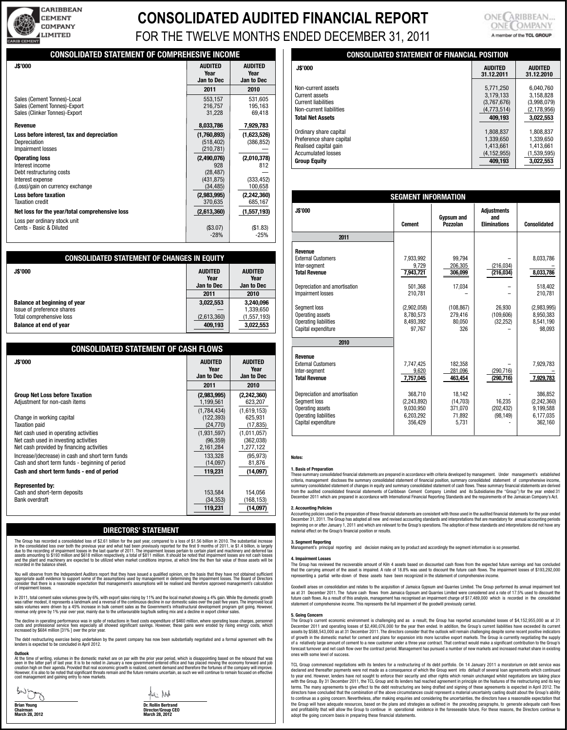# **CONSOLIDATED AUDITED FINANCIAL REPORT** FOR THE TWELVE MONTHS ENDED DECEMBER 31, 2011

ONE CARIBBEAN... **ONE COMPANY** A member of the TCL GROUP

| <b>CONSOLIDATED STATEMENT OF COMPREHESIVE INCOME</b>                                                                         |                                                            |                                             |  |
|------------------------------------------------------------------------------------------------------------------------------|------------------------------------------------------------|---------------------------------------------|--|
| <b>J\$'000</b>                                                                                                               | <b>AUDITED</b><br>Year<br>Jan to Dec                       | <b>AUDITED</b><br>Year<br>Jan to Dec        |  |
|                                                                                                                              | 2011                                                       | 2010                                        |  |
| Sales (Cement Tonnes)-Local<br>Sales (Cement Tonnes)-Export<br>Sales (Clinker Tonnes)-Export                                 | 553,157<br>216,757<br>31,228                               | 531,605<br>195,163<br>69,418                |  |
| <b>Revenue</b>                                                                                                               | 8,033,786                                                  | 7,929,783                                   |  |
| Loss before interest, tax and depreciation<br>Depreciation<br>Impairment losses                                              | (1,760,893)<br>(518, 402)<br>(210, 781)                    | (1,623,526)<br>(386, 852)                   |  |
| <b>Operating loss</b><br>Interest income<br>Debt restructuring costs<br>Interest expense<br>(Loss)/gain on currency exchange | (2,490,076)<br>928<br>(28, 487)<br>(431, 875)<br>(34, 485) | (2,010,378)<br>812<br>(333, 452)<br>100,658 |  |
| <b>Loss before taxation</b><br><b>Taxation credit</b>                                                                        | (2,983,995)<br>370,635                                     | (2,242,360)<br>685,167                      |  |
| Net loss for the year/total comprehensive loss                                                                               | (2,613,360)                                                | (1,557,193)                                 |  |
| Loss per ordinary stock unit<br>Cents - Basic & Diluted                                                                      | (\$3.07)<br>$-28%$                                         | (\$1.83)<br>$-25%$                          |  |

| <b>CONSOLIDATED STATEMENT OF CHANGES IN EQUITY</b> |                                      |                                      |  |  |
|----------------------------------------------------|--------------------------------------|--------------------------------------|--|--|
| <b>J\$'000</b>                                     | <b>AUDITED</b><br>Year<br>Jan to Dec | <b>AUDITED</b><br>Year<br>Jan to Dec |  |  |
|                                                    | 2011                                 | 2010                                 |  |  |
| Balance at beginning of year                       | 3,022,553                            | 3,240,096                            |  |  |
| Issue of preference shares                         |                                      | 1,339,650                            |  |  |
| Total comprehensive loss                           | (2,613,360)                          | (1, 557, 193)                        |  |  |
| <b>Balance at end of year</b>                      | 409,193                              | 3,022,553                            |  |  |

| <b>CONSOLIDATED STATEMENT OF CASH FLOWS</b>                                                                                                                                                                                                                                                                                                                                                                    |                                                                                                                                               |                                                                                                                                           |  |
|----------------------------------------------------------------------------------------------------------------------------------------------------------------------------------------------------------------------------------------------------------------------------------------------------------------------------------------------------------------------------------------------------------------|-----------------------------------------------------------------------------------------------------------------------------------------------|-------------------------------------------------------------------------------------------------------------------------------------------|--|
| <b>J\$'000</b>                                                                                                                                                                                                                                                                                                                                                                                                 | <b>AUDITED</b><br>Year<br>Jan to Dec                                                                                                          | <b>AUDITED</b><br>Year<br>Jan to Dec                                                                                                      |  |
|                                                                                                                                                                                                                                                                                                                                                                                                                | 2011                                                                                                                                          | 2010                                                                                                                                      |  |
| <b>Group Net Loss before Taxation</b><br>Adjustment for non-cash items<br>Change in working capital<br><b>Taxation paid</b><br>Net cash used in operating activities<br>Net cash used in investing activities<br>Net cash provided by financing activities<br>Increase/(decrease) in cash and short term funds<br>Cash and short term funds - beginning of period<br>Cash and short term funds - end of period | (2,983,995)<br>1,199,561<br>(1,784,434)<br>(122, 393)<br>(24, 770)<br>(1,931,597)<br>(96, 359)<br>2,161,284<br>133.328<br>(14,097)<br>119,231 | (2,242,360)<br>623,207<br>(1,619,153)<br>625,931<br>(17, 835)<br>(1,011,057)<br>(362,038)<br>1,277,122<br>(95, 973)<br>81,876<br>(14,097) |  |
|                                                                                                                                                                                                                                                                                                                                                                                                                |                                                                                                                                               |                                                                                                                                           |  |
| <b>Represented by:</b><br>Cash and short-term deposits<br>Bank overdraft                                                                                                                                                                                                                                                                                                                                       | 153,584<br>(34, 353)<br>119,231                                                                                                               | 154,056<br>(168,153)<br>(14,097)                                                                                                          |  |

# **DIRECTORS' STATEMENT**

The Group has recorded a consolidated loss of \$2.61 billion for the past year, compared to a loss of \$1.56 billion in 2010. The substantial increase<br>in the consolidated loss over both the previous year and what had been pr

You will observe from the Independent Auditors report that they have issued a qualified opinion, on the basis that they have not obtained sufficient<br>appropriate audit evidence to support some of the assumptions used by man

In 2011, total cement sales volumes grew by 6%, with export sales rising by 11% and the local market showing a 4% gain. While the domestic growth<br>was rather modest, it represents a landmark and a reversal of the continuous

The decline in operating performance was in spite of reductions in fixed costs expenditure of \$460 million, where operating lease charges, personnel<br>costs and professional service fees especially all showed significant sav

The debt restructuring exercise being undertaken by the parent company has now been substantially negotiated and a formal agreement with the lenders is expected to be concluded in April 2012.

**Outlook**<br>At the time of writing, volumes in the domestic market are on par with the prior year period, which is disappointing based on the rebound that was<br>Seen in the latter part of last year. It is to be noted in Januar





| <b>CONSOLIDATED STATEMENT OF FINANCIAL POSITION</b> |                              |                              |  |  |
|-----------------------------------------------------|------------------------------|------------------------------|--|--|
| <b>J\$'000</b>                                      | <b>AUDITED</b><br>31.12.2011 | <b>AUDITED</b><br>31.12.2010 |  |  |
| Non-current assets                                  | 5,771,250                    | 6,040,760                    |  |  |
| Current assets                                      | 3,179,133                    | 3,158,828                    |  |  |
| <b>Current liabilities</b>                          | (3,767,676)                  | (3,998,079)                  |  |  |
| Non-current liabilities                             | (4,773,514)                  | (2, 178, 956)                |  |  |
| <b>Total Net Assets</b>                             | 409.193                      | 3.022.553                    |  |  |
| Ordinary share capital                              | 1,808,837                    | 1,808,837                    |  |  |
| Preference share capital                            | 1,339,650                    | 1,339,650                    |  |  |
| Realised capital gain                               | 1,413,661                    | 1,413,661                    |  |  |
| <b>Accumulated losses</b>                           | (4, 152, 955)                | (1,539,595)                  |  |  |
| <b>Group Equity</b>                                 | 409.193                      | 3,022,553                    |  |  |

| <b>SEGMENT INFORMATION</b>                                                                                                                                                                                                     |                                                                                                          |                                                                                  |                                                               |                                                                                                 |
|--------------------------------------------------------------------------------------------------------------------------------------------------------------------------------------------------------------------------------|----------------------------------------------------------------------------------------------------------|----------------------------------------------------------------------------------|---------------------------------------------------------------|-------------------------------------------------------------------------------------------------|
| <b>J\$'000</b>                                                                                                                                                                                                                 | <b>Cement</b>                                                                                            | <b>Gypsum and</b><br>Pozzolan                                                    | <b>Adjustments</b><br>and<br><b>Eliminations</b>              | <b>Consolidated</b>                                                                             |
| 2011                                                                                                                                                                                                                           |                                                                                                          |                                                                                  |                                                               |                                                                                                 |
| <b>Revenue</b><br><b>External Customers</b><br>Inter-segment<br><b>Total Revenue</b><br>Depreciation and amortisation<br>Impairment losses<br>Segment loss<br>Operating assets<br>Operating liabilities<br>Capital expenditure | 7,933,992<br>9,729<br>7.943.721<br>501,368<br>210.781<br>(2,902,058)<br>8,780,573<br>8,493,392<br>97.767 | 99.794<br>206,305<br>306,099<br>17,034<br>(108, 867)<br>279.416<br>80.050<br>326 | (216, 034)<br>(216, 034)<br>26,930<br>(109, 606)<br>(32, 252) | 8,033,786<br>8,033,786<br>518,402<br>210.781<br>(2,983,995)<br>8,950,383<br>8,541,190<br>98.093 |
| 2010                                                                                                                                                                                                                           |                                                                                                          |                                                                                  |                                                               |                                                                                                 |
| <b>Revenue</b><br><b>External Customers</b><br>Inter-segment<br><b>Total Revenue</b><br>Depreciation and amortisation<br>Seament loss                                                                                          | 7,747,425<br>9.620<br>7,757,045<br>368,710<br>(2, 243, 892)                                              | 182,358<br>281.096<br>463,454<br>18,142<br>(14, 703)                             | (290, 716)<br>(290, 716)<br>16,235                            | 7,929,783<br>7,929,783<br>386,852<br>(2, 242, 360)                                              |
| Operating assets<br>Operating liabilities<br>Capital expenditure                                                                                                                                                               | 9,030,950<br>6,203,292<br>356.429                                                                        | 371,070<br>71,892<br>5,731                                                       | (202, 432)<br>(98, 149)                                       | 9,199,588<br>6,177,035<br>362.160                                                               |

#### **1. Basis of Preparation**

**Notes:**

These summary consolidated financial statements are prepared in accordance with criteria developed by management. Under management's established criteria, management discloses the summary consolidated statement of financial position, summary consolidated statement of comprehensive income, summary consolidated statement of changes in equity and summary consolidated statement of cash flows. These summary financial statements are derived<br>from the audited consolidated financial statements of Caribbean Cement Co From the audited consolidated financial statements of Caribbean Cement Company Limited and its Subsidiaries (the "Group") for the year ended 31 December 2011 which are prepared in accordance with International Financial Reporting Standards and the requirements of the Jamaican Company's Act.

#### **2. Accounting Policies**

Accounting policies used in the preparation of these financial statements are consistent with those used in the audited financial statements for the year ended December 31, 2011. The Group has adopted all new and revised accounting standards and interpretations that are mandatory for annual accounting periods beginning on or after January 1, 2011 and which are relevant to the Group's operations. The adoption of these standards and interpretations did not have any<br>material effect on the Group's financial position or results.

### **3. Segment Reporting**

resgimentify principal reporting and decision making are by product and accordingly the segment information is so presen

#### **4. Impairment Losses**

The Group has reviewed the recoverable amount of Kiln 4 assets based on discounted cash flows from the expected future earnings and has concluded<br>that the carrying amount of the asset is impaired. A rate of 18.8% was used representing a partial write-down of these assets have been recognized in the statement of comprehensive income.

ill arises on consolidation and relates to the acquisition of Jamaica Gypsum and Quarries Limited. The Group performed its annual impairment test as at 31 December 2011. The future cash flows from Jamaica Gypsum and Quarries Limited were considered and a rate of 17.5% used to discount the future cash flows. As a result of this analysis, management has recognised an impairment charge of \$17,489,000 which is recorded in the consolidated<br>statement of comprehensive income. This represents the full impairment of

#### **5. Going Concern**

The Group's current economic environment is challenging and as a result, the Group has reported accumulated losses of \$4,152,955,000 as at 31 December 2011 and operating losses of \$2,490,076,000 for the year then ended. In addition, the Group's current liabilities have exceeded its current assets by \$588,543,000 as at 31 December 2011. The directors consider that the outlook will remain challenging despite some recent positive indicators<br>of growth in the domestic market for cement and plans for expansion int forecast turnover and net cash flow over the contract period. Management has pursued a number of new markets and increased market share in existing ones with some level of success.

TCL Group commenced negotiations with its lenders for a restructuring of its debt portfolio. On 14 January 2011 a moratorium on debt service was declared and thereafter payments were not made as a consequence of which the Group went into default of several loan agreements which continued to year end. However, lenders have not sought to enforce their security and other rights which remain unchanged whilst negotiations are taking place<br>with the Group. By 31 December 2011, the TCL Group and its lenders had re terms. The many agreements to give effect to the debt restructuring are being drafted and signing of these agreements is expected in April 2012. The<br>directors have concluded that the combination of the above circumstances to continue as a going concern. Nevertheless, after making enquiries and considering the uncertainties, the directors have a reasonable expectation that<br>the Group will have adequate resources, based on the plans and strate and profitability that will allow the Group to continue in operational existence in the foreseeable future. For these reasons, the Directors continue to adopt the going concern basis in preparing these financial statements.